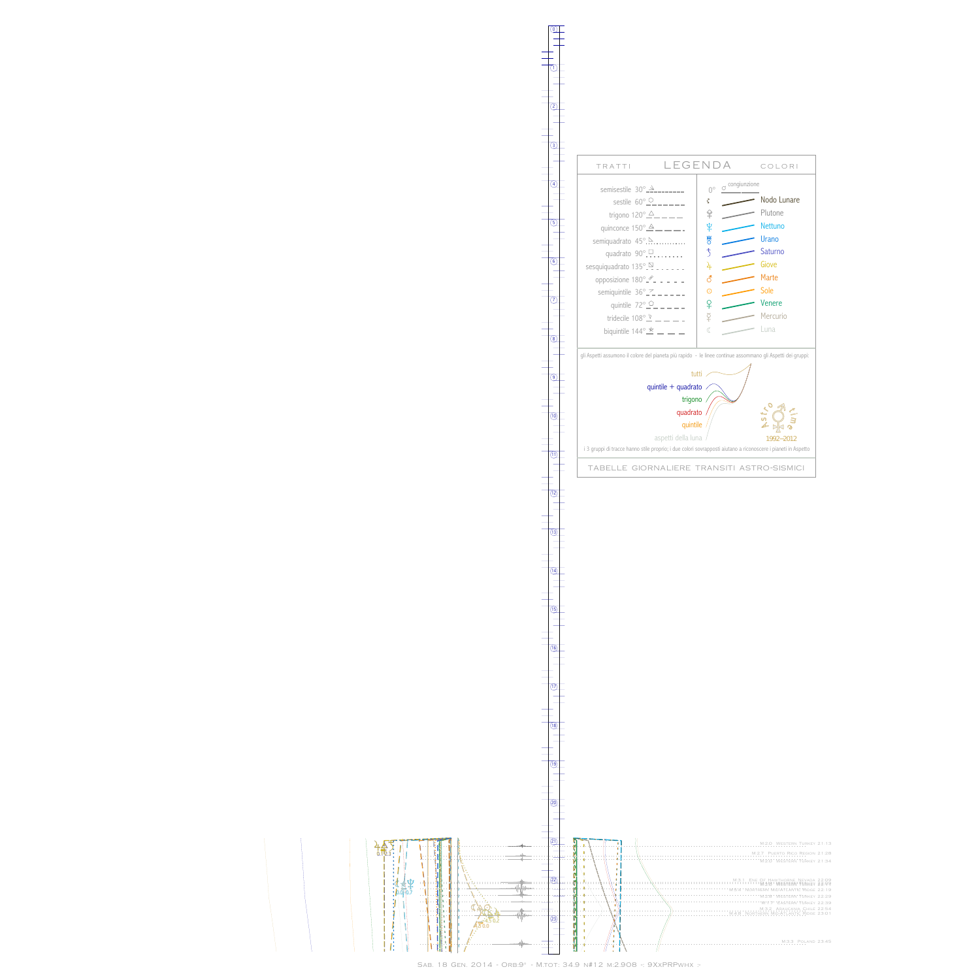